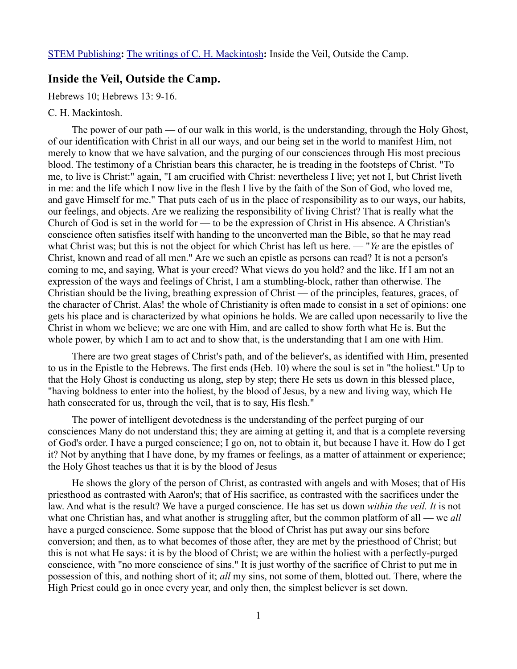## **Inside the Veil, Outside the Camp.**

Hebrews 10; Hebrews 13: 9-16.

## C. H. Mackintosh.

The power of our path — of our walk in this world, is the understanding, through the Holy Ghost, of our identification with Christ in all our ways, and our being set in the world to manifest Him, not merely to know that we have salvation, and the purging of our consciences through His most precious blood. The testimony of a Christian bears this character, he is treading in the footsteps of Christ. "To me, to live is Christ:" again, "I am crucified with Christ: nevertheless I live; yet not I, but Christ liveth in me: and the life which I now live in the flesh I live by the faith of the Son of God, who loved me, and gave Himself for me." That puts each of us in the place of responsibility as to our ways, our habits, our feelings, and objects. Are we realizing the responsibility of living Christ? That is really what the Church of God is set in the world for — to be the expression of Christ in His absence. A Christian's conscience often satisfies itself with handing to the unconverted man the Bible, so that he may read what Christ was; but this is not the object for which Christ has left us here. — "*Ye* are the epistles of Christ, known and read of all men." Are we such an epistle as persons can read? It is not a person's coming to me, and saying, What is your creed? What views do you hold? and the like. If I am not an expression of the ways and feelings of Christ, I am a stumbling-block, rather than otherwise. The Christian should be the living, breathing expression of Christ — of the principles, features, graces, of the character of Christ. Alas! the whole of Christianity is often made to consist in a set of opinions: one gets his place and is characterized by what opinions he holds. We are called upon necessarily to live the Christ in whom we believe; we are one with Him, and are called to show forth what He is. But the whole power, by which I am to act and to show that, is the understanding that I am one with Him.

There are two great stages of Christ's path, and of the believer's, as identified with Him, presented to us in the Epistle to the Hebrews. The first ends (Heb. 10) where the soul is set in "the holiest." Up to that the Holy Ghost is conducting us along, step by step; there He sets us down in this blessed place, "having boldness to enter into the holiest, by the blood of Jesus, by a new and living way, which He hath consecrated for us, through the veil, that is to say, His flesh."

The power of intelligent devotedness is the understanding of the perfect purging of our consciences Many do not understand this; they are aiming at getting it, and that is a complete reversing of God's order. I have a purged conscience; I go on, not to obtain it, but because I have it. How do I get it? Not by anything that I have done, by my frames or feelings, as a matter of attainment or experience; the Holy Ghost teaches us that it is by the blood of Jesus

He shows the glory of the person of Christ, as contrasted with angels and with Moses; that of His priesthood as contrasted with Aaron's; that of His sacrifice, as contrasted with the sacrifices under the law. And what is the result? We have a purged conscience. He has set us down *within the veil. It* is not what one Christian has, and what another is struggling after, but the common platform of all — we *all* have a purged conscience. Some suppose that the blood of Christ has put away our sins before conversion; and then, as to what becomes of those after, they are met by the priesthood of Christ; but this is not what He says: it is by the blood of Christ; we are within the holiest with a perfectly-purged conscience, with "no more conscience of sins." It is just worthy of the sacrifice of Christ to put me in possession of this, and nothing short of it; *all* my sins, not some of them, blotted out. There, where the High Priest could go in once every year, and only then, the simplest believer is set down.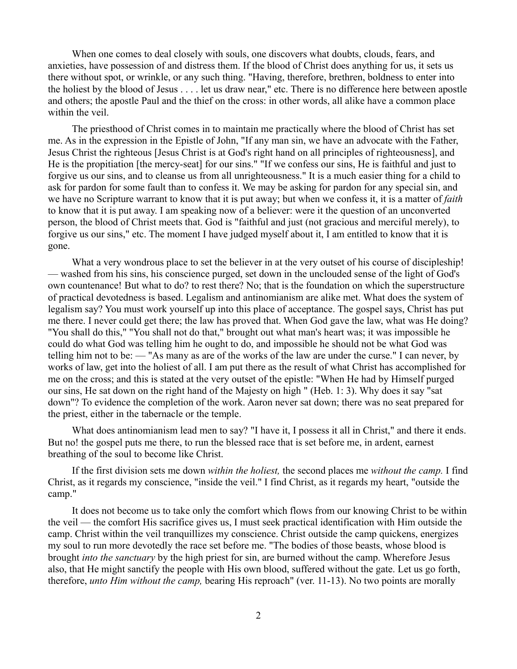When one comes to deal closely with souls, one discovers what doubts, clouds, fears, and anxieties, have possession of and distress them. If the blood of Christ does anything for us, it sets us there without spot, or wrinkle, or any such thing. "Having, therefore, brethren, boldness to enter into the holiest by the blood of Jesus . . . . let us draw near," etc. There is no difference here between apostle and others; the apostle Paul and the thief on the cross: in other words, all alike have a common place within the veil.

The priesthood of Christ comes in to maintain me practically where the blood of Christ has set me. As in the expression in the Epistle of John, "If any man sin, we have an advocate with the Father, Jesus Christ the righteous [Jesus Christ is at God's right hand on all principles of righteousness], and He is the propitiation [the mercy-seat] for our sins." "If we confess our sins, He is faithful and just to forgive us our sins, and to cleanse us from all unrighteousness." It is a much easier thing for a child to ask for pardon for some fault than to confess it. We may be asking for pardon for any special sin, and we have no Scripture warrant to know that it is put away; but when we confess it, it is a matter of *faith* to know that it is put away. I am speaking now of a believer: were it the question of an unconverted person, the blood of Christ meets that. God is "faithful and just (not gracious and merciful merely), to forgive us our sins," etc. The moment I have judged myself about it, I am entitled to know that it is gone.

What a very wondrous place to set the believer in at the very outset of his course of discipleship! — washed from his sins, his conscience purged, set down in the unclouded sense of the light of God's own countenance! But what to do? to rest there? No; that is the foundation on which the superstructure of practical devotedness is based. Legalism and antinomianism are alike met. What does the system of legalism say? You must work yourself up into this place of acceptance. The gospel says, Christ has put me there. I never could get there; the law has proved that. When God gave the law, what was He doing? "You shall do this," "You shall not do that," brought out what man's heart was; it was impossible he could do what God was telling him he ought to do, and impossible he should not be what God was telling him not to be: — "As many as are of the works of the law are under the curse." I can never, by works of law, get into the holiest of all. I am put there as the result of what Christ has accomplished for me on the cross; and this is stated at the very outset of the epistle: "When He had by Himself purged our sins, He sat down on the right hand of the Majesty on high " (Heb. 1: 3). Why does it say "sat down"? To evidence the completion of the work. Aaron never sat down; there was no seat prepared for the priest, either in the tabernacle or the temple.

What does antinomianism lead men to say? "I have it, I possess it all in Christ," and there it ends. But no! the gospel puts me there, to run the blessed race that is set before me, in ardent, earnest breathing of the soul to become like Christ.

If the first division sets me down *within the holiest,* the second places me *without the camp.* I find Christ, as it regards my conscience, "inside the veil." I find Christ, as it regards my heart, "outside the camp."

It does not become us to take only the comfort which flows from our knowing Christ to be within the veil — the comfort His sacrifice gives us, I must seek practical identification with Him outside the camp. Christ within the veil tranquillizes my conscience. Christ outside the camp quickens, energizes my soul to run more devotedly the race set before me. "The bodies of those beasts, whose blood is brought *into the sanctuary* by the high priest for sin, are burned without the camp. Wherefore Jesus also, that He might sanctify the people with His own blood, suffered without the gate. Let us go forth, therefore, *unto Him without the camp,* bearing His reproach" (ver. 11-13). No two points are morally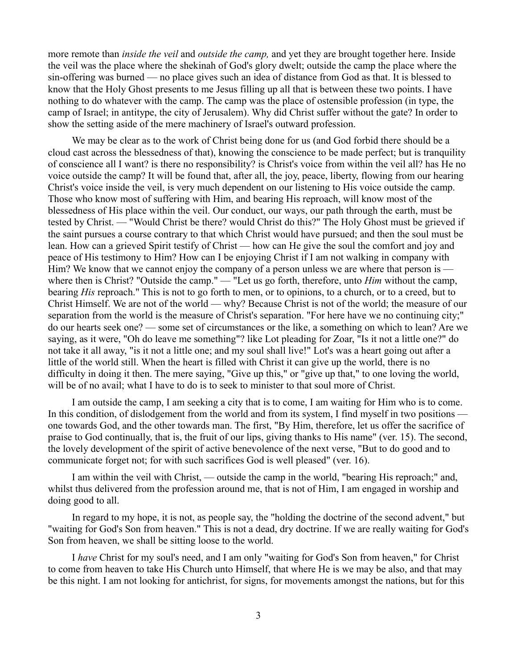more remote than *inside the veil* and *outside the camp,* and yet they are brought together here. Inside the veil was the place where the shekinah of God's glory dwelt; outside the camp the place where the sin-offering was burned — no place gives such an idea of distance from God as that. It is blessed to know that the Holy Ghost presents to me Jesus filling up all that is between these two points. I have nothing to do whatever with the camp. The camp was the place of ostensible profession (in type, the camp of Israel; in antitype, the city of Jerusalem). Why did Christ suffer without the gate? In order to show the setting aside of the mere machinery of Israel's outward profession.

We may be clear as to the work of Christ being done for us (and God forbid there should be a cloud cast across the blessedness of that), knowing the conscience to be made perfect; but is tranquility of conscience all I want? is there no responsibility? is Christ's voice from within the veil all? has He no voice outside the camp? It will be found that, after all, the joy, peace, liberty, flowing from our hearing Christ's voice inside the veil, is very much dependent on our listening to His voice outside the camp. Those who know most of suffering with Him, and bearing His reproach, will know most of the blessedness of His place within the veil. Our conduct, our ways, our path through the earth, must be tested by Christ. — "Would Christ be there? would Christ do this?" The Holy Ghost must be grieved if the saint pursues a course contrary to that which Christ would have pursued; and then the soul must be lean. How can a grieved Spirit testify of Christ — how can He give the soul the comfort and joy and peace of His testimony to Him? How can I be enjoying Christ if I am not walking in company with Him? We know that we cannot enjoy the company of a person unless we are where that person is where then is Christ? "Outside the camp." — "Let us go forth, therefore, unto *Him* without the camp, bearing *His* reproach." This is not to go forth to men, or to opinions, to a church, or to a creed, but to Christ Himself. We are not of the world — why? Because Christ is not of the world; the measure of our separation from the world is the measure of Christ's separation. "For here have we no continuing city;" do our hearts seek one? — some set of circumstances or the like, a something on which to lean? Are we saying, as it were, "Oh do leave me something"? like Lot pleading for Zoar, "Is it not a little one?" do not take it all away, "is it not a little one; and my soul shall live!" Lot's was a heart going out after a little of the world still. When the heart is filled with Christ it can give up the world, there is no difficulty in doing it then. The mere saying, "Give up this," or "give up that," to one loving the world, will be of no avail; what I have to do is to seek to minister to that soul more of Christ.

I am outside the camp, I am seeking a city that is to come, I am waiting for Him who is to come. In this condition, of dislodgement from the world and from its system, I find myself in two positions one towards God, and the other towards man. The first, "By Him, therefore, let us offer the sacrifice of praise to God continually, that is, the fruit of our lips, giving thanks to His name" (ver. 15). The second, the lovely development of the spirit of active benevolence of the next verse, "But to do good and to communicate forget not; for with such sacrifices God is well pleased" (ver. 16).

I am within the veil with Christ, — outside the camp in the world, "bearing His reproach;" and, whilst thus delivered from the profession around me, that is not of Him, I am engaged in worship and doing good to all.

In regard to my hope, it is not, as people say, the "holding the doctrine of the second advent," but "waiting for God's Son from heaven." This is not a dead, dry doctrine. If we are really waiting for God's Son from heaven, we shall be sitting loose to the world.

I *have* Christ for my soul's need, and I am only "waiting for God's Son from heaven," for Christ to come from heaven to take His Church unto Himself, that where He is we may be also, and that may be this night. I am not looking for antichrist, for signs, for movements amongst the nations, but for this